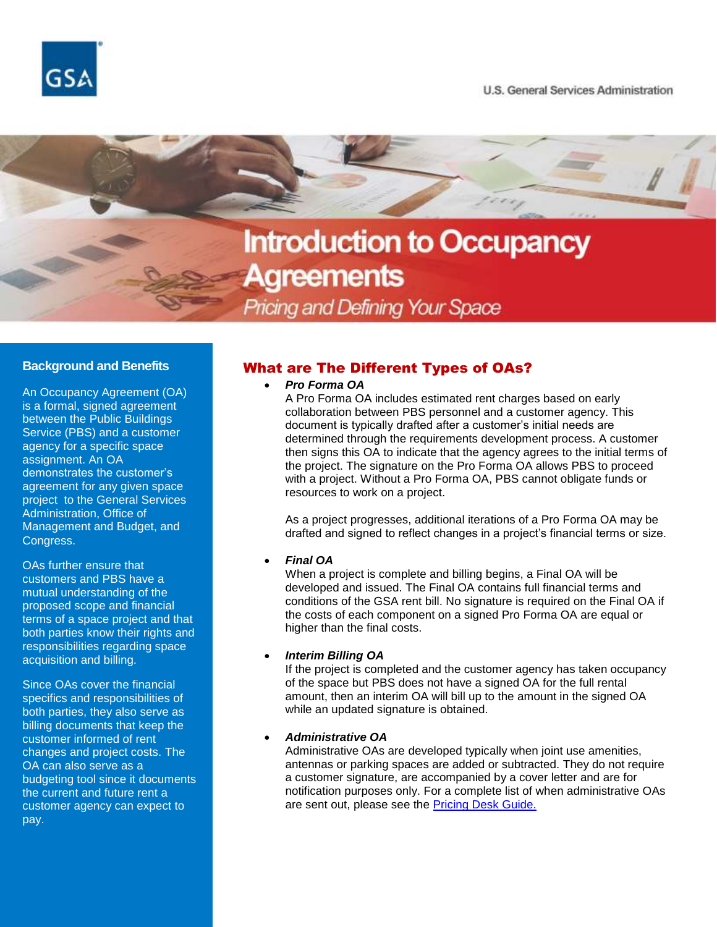



# **Introduction to Occupancy** Agreements

Pricing and Defining Your Space

### **Background and Benefits**

An Occupancy Agreement (OA) is a formal, signed agreement between the Public Buildings Service (PBS) and a customer agency for a specific space assignment. An OA demonstrates the customer's agreement for any given space project to the General Services Administration, Office of Management and Budget, and Congress.

OAs further ensure that customers and PBS have a mutual understanding of the proposed scope and financial terms of a space project and that both parties know their rights and responsibilities regarding space acquisition and billing.

Since OAs cover the financial specifics and responsibilities of both parties, they also serve as billing documents that keep the customer informed of rent changes and project costs. The OA can also serve as a budgeting tool since it documents the current and future rent a customer agency can expect to pay.

## What are The Different Types of OAs?

*Pro Forma OA*

A Pro Forma OA includes estimated rent charges based on early collaboration between PBS personnel and a customer agency. This document is typically drafted after a customer's initial needs are determined through the requirements development process. A customer then signs this OA to indicate that the agency agrees to the initial terms of the project. The signature on the Pro Forma OA allows PBS to proceed with a project. Without a Pro Forma OA, PBS cannot obligate funds or resources to work on a project.

As a project progresses, additional iterations of a Pro Forma OA may be drafted and signed to reflect changes in a project's financial terms or size.

#### *Final OA*

When a project is complete and billing begins, a Final OA will be developed and issued. The Final OA contains full financial terms and conditions of the GSA rent bill. No signature is required on the Final OA if the costs of each component on a signed Pro Forma OA are equal or higher than the final costs.

#### *Interim Billing OA*

If the project is completed and the customer agency has taken occupancy of the space but PBS does not have a signed OA for the full rental amount, then an interim OA will bill up to the amount in the signed OA while an updated signature is obtained.

#### *Administrative OA*

Administrative OAs are developed typically when joint use amenities, antennas or parking spaces are added or subtracted. They do not require a customer signature, are accompanied by a cover letter and are for notification purposes only. For a complete list of when administrative OAs are sent out, please see the [Pricing Desk Guide.](https://www.gsa.gov/cdnstatic/Pricing%20Desk%20Guide%205th%20Edition%20November%2016,%202019_0.pdf)